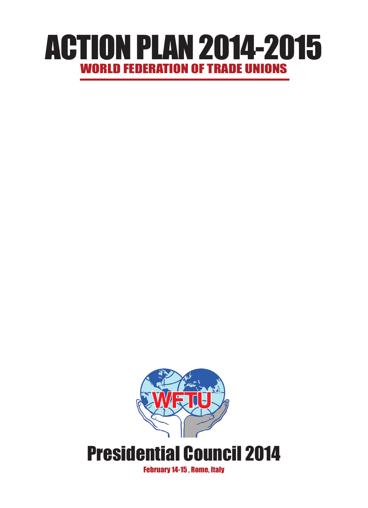# WORLD FEDERATION OF TRADE UNIONS ACTION PLAN 2014-2015

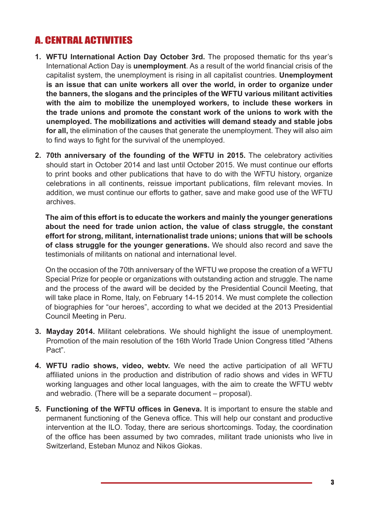## A. CENTRAL ACTIVITIES

- **1. WFTU International Action Day October 3rd.** The proposed thematic for ths year's International Action Day is **unemployment**. As a result of the world financial crisis of the capitalist system, the unemployment is rising in all capitalist countries. **Unemployment is an issue that can unite workers all over the world, in order to organize under the banners, the slogans and the principles of the WFTU various militant activities with the aim to mobilize the unemployed workers, to include these workers in the trade unions and promote the constant work of the unions to work with the unemployed. The mobilizations and activities will demand steady and stable jobs for all,** the elimination of the causes that generate the unemployment. They will also aim to find ways to fight for the survival of the unemployed.
- **2. 70th anniversary of the founding of the WFTU in 2015.** The celebratory activities should start in October 2014 and last until October 2015. We must continue our efforts to print books and other publications that have to do with the WFTU history, organize celebrations in all continents, reissue important publications, film relevant movies. In addition, we must continue our efforts to gather, save and make good use of the WFTU archives.

**The aim of this effort is to educate the workers and mainly the younger generations about the need for trade union action, the value of class struggle, the constant effort for strong, militant, internationalist trade unions; unions that will be schools of class struggle for the younger generations.** We should also record and save the testimonials of militants on national and international level.

On the occasion of the 70th anniversary of the WFTU we propose the creation of a WFTU Special Prize for people or organizations with outstanding action and struggle. The name and the process of the award will be decided by the Presidential Council Meeting, that will take place in Rome, Italy, on February 14-15 2014. We must complete the collection of biographies for "our heroes", according to what we decided at the 2013 Presidential Council Meeting in Peru.

- **3. Mayday 2014.** Militant celebrations. We should highlight the issue of unemployment. Promotion of the main resolution of the 16th World Trade Union Congress titled "Athens Pact".
- **4. WFTU radio shows, video, webtv.** We need the active participation of all WFTU affiliated unions in the production and distribution of radio shows and vides in WFTU working languages and other local languages, with the aim to create the WFTU webtv and webradio. (There will be a separate document – proposal).
- **5. Functioning of the WFTU offices in Geneva.** It is important to ensure the stable and permanent functioning of the Geneva office. This will help our constant and productive intervention at the ILO. Today, there are serious shortcomings. Today, the coordination of the office has been assumed by two comrades, militant trade unionists who live in Switzerland, Esteban Munoz and Nikos Giokas.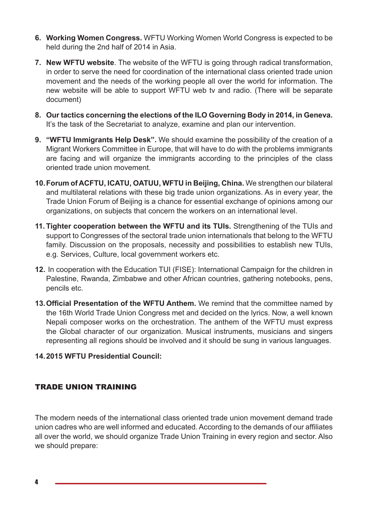- **6. Working Women Congress.** WFTU Working Women World Congress is expected to be held during the 2nd half of 2014 in Asia.
- **7. New WFTU website**. The website of the WFTU is going through radical transformation, in order to serve the need for coordination of the international class oriented trade union movement and the needs of the working people all over the world for information. The new website will be able to support WFTU web tv and radio. (There will be separate document)
- **8. Our tactics concerning the elections of the ILO Governing Body in 2014, in Geneva.** It's the task of the Secretariat to analyze, examine and plan our intervention.
- **9. "WFTU Immigrants Help Desk".** We should examine the possibility of the creation of a Migrant Workers Committee in Europe, that will have to do with the problems immigrants are facing and will organize the immigrants according to the principles of the class oriented trade union movement.
- **10.Forum of ACFTU, ICATU, OATUU, WFTU in Beijing, China.** We strengthen our bilateral and multilateral relations with these big trade union organizations. As in every year, the Trade Union Forum of Beijing is a chance for essential exchange of opinions among our organizations, on subjects that concern the workers on an international level.
- **11. Tighter cooperation between the WFTU and its TUIs.** Strengthening of the TUIs and support to Congresses of the sectoral trade union internationals that belong to the WFTU family. Discussion on the proposals, necessity and possibilities to establish new TUIs, e.g. Services, Culture, local government workers etc.
- **12.** In cooperation with the Education TUI (FISE): International Campaign for the children in Palestine, Rwanda, Zimbabwe and other African countries, gathering notebooks, pens, pencils etc.
- **13.Official Presentation of the WFTU Anthem.** We remind that the committee named by the 16th World Trade Union Congress met and decided on the lyrics. Now, a well known Nepali composer works on the orchestration. The anthem of the WFTU must express the Global character of our organization. Musical instruments, musicians and singers representing all regions should be involved and it should be sung in various languages.

#### **14.2015 WFTU Presidential Council:**

#### TRADE UNION TRAINING

The modern needs of the international class oriented trade union movement demand trade union cadres who are well informed and educated. According to the demands of our affiliates all over the world, we should organize Trade Union Training in every region and sector. Also we should prepare: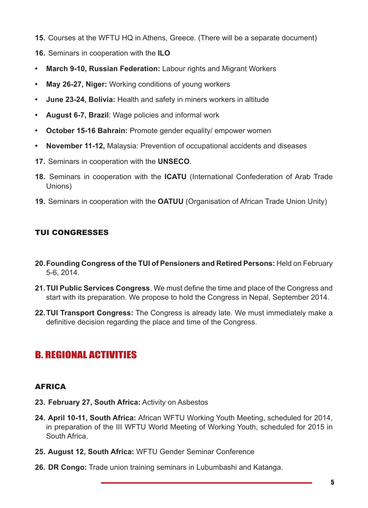- **15.** Courses at the WFTU HQ in Athens, Greece. (There will be a separate document)
- **16.** Seminars in cooperation with the **ILO**
- **• March 9-10, Russian Federation:** Labour rights and Migrant Workers
- **• May 26-27, Niger:** Working conditions of young workers
- **• June 23-24, Bolivia:** Health and safety in miners workers in altitude
- **• August 6-7, Brazil**: Wage policies and informal work
- **October 15-16 Bahrain: Promote gender equality/ empower women**
- **• November 11-12,** Malaysia: Prevention of occupational accidents and diseases
- **17.** Seminars in cooperation with the **UNSECO**.
- **18.** Seminars in cooperation with the **ICATU** (International Confederation of Arab Trade Unions)
- **19.** Seminars in cooperation with the **OATUU** (Organisation of African Trade Union Unity)

#### TUI CONGRESSES

- **20.Founding Congress of the TUI of Pensioners and Retired Persons:** Held on February 5-6, 2014.
- **21.TUI Public Services Congress**. We must define the time and place of the Congress and start with its preparation. We propose to hold the Congress in Nepal, September 2014.
- **22.TUI Transport Congress:** The Congress is already late. We must immediately make a definitive decision regarding the place and time of the Congress.

## B. REGIONAL ACTIVITIES

#### AFRICA

- **23. February 27, South Africa:** Activity on Asbestos
- **24. April 10-11, South Africa:** African WFTU Working Youth Meeting, scheduled for 2014, in preparation of the III WFTU World Meeting of Working Youth, scheduled for 2015 in South Africa.
- **25. August 12, South Africa:** WFTU Gender Seminar Conference
- **26. DR Congo:** Trade union training seminars in Lubumbashi and Katanga.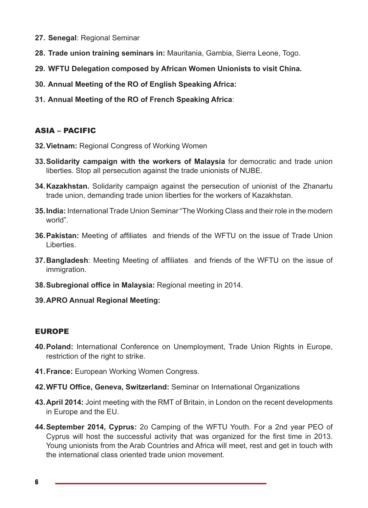- **27. Senegal**: Regional Seminar
- **28. Trade union training seminars in:** Mauritania, Gambia, Sierra Leone, Togo.
- **29. WFTU Delegation composed by African Women Unionists to visit China.**
- **30. Annual Meeting of the RO of English Speaking Africa:**
- **31. Annual Meeting of the RO of French Speaking Africa**:

#### ASIA – PACIFIC

- **32.Vietnam:** Regional Congress of Working Women
- **33.Solidarity campaign with the workers of Malaysia** for democratic and trade union liberties. Stop all persecution against the trade unionists of NUBE.
- **34.Kazakhstan.** Solidarity campaign against the persecution of unionist of the Zhanartu trade union, demanding trade union liberties for the workers of Kazakhstan.
- **35.India:** International Trade Union Seminar "The Working Class and their role in the modern world".
- **36.Pakistan:** Meeting of affiliates and friends of the WFTU on the issue of Trade Union Liberties.
- **37.Bangladesh**: Meeting Meeting of affiliates and friends of the WFTU on the issue of immigration.
- **38.Subregional office in Malaysia:** Regional meeting in 2014.
- **39.APRO Annual Regional Meeting:**

#### EUROPE

- **40.Poland:** International Conference on Unemployment, Trade Union Rights in Europe, restriction of the right to strike.
- **41.France:** European Working Women Congress.
- **42.WFTU Office, Geneva, Switzerland:** Seminar on International Organizations
- **43.April 2014:** Joint meeting with the RMT of Britain, in London on the recent developments in Europe and the EU.
- **44.September 2014, Cyprus:** 2ο Camping of the WFTU Youth. For a 2nd year PEO of Cyprus will host the successful activity that was organized for the first time in 2013. Young unionists from the Arab Countries and Africa will meet, rest and get in touch with the international class oriented trade union movement.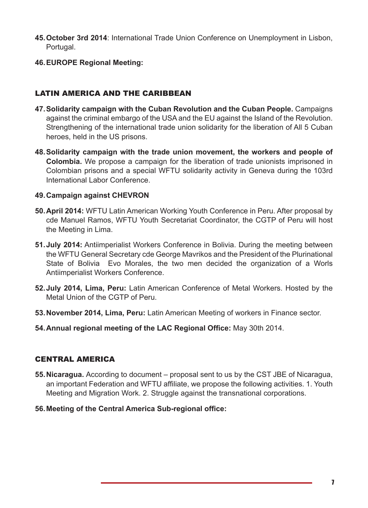- **45.October 3rd 2014**: International Trade Union Conference on Unemployment in Lisbon, Portugal.
- **46.EUROPE Regional Meeting:**

#### LATIN AMERICA AND THE CARIBBEAN

- **47.Solidarity campaign with the Cuban Revolution and the Cuban People.** Campaigns against the criminal embargo of the USA and the EU against the Island of the Revolution. Strengthening of the international trade union solidarity for the liberation of All 5 Cuban heroes, held in the US prisons.
- **48.Solidarity campaign with the trade union movement, the workers and people of Colombia.** We propose a campaign for the liberation of trade unionists imprisoned in Colombian prisons and a special WFTU solidarity activity in Geneva during the 103rd International Labor Conference.

#### **49.Campaign against CHEVRON**

- **50.April 2014:** WFTU Latin American Working Youth Conference in Peru. After proposal by cde Manuel Ramos, WFTU Youth Secretariat Coordinator, the CGTP of Peru will host the Meeting in Lima.
- **51.July 2014:** Antiimperialist Workers Conference in Bolivia. During the meeting between the WFTU General Secretary cde George Mavrikos and the President of the Plurinational State of Bolivia Evo Morales, the two men decided the organization of a Worls Antiimperialist Workers Conference.
- **52.July 2014, Lima, Peru:** Latin American Conference of Metal Workers. Hosted by the Metal Union of the CGTP of Peru.
- **53.November 2014, Lima, Peru:** Latin American Meeting of workers in Finance sector.
- **54.Annual regional meeting of the LAC Regional Office:** May 30th 2014.

#### CENTRAL AMERICA

- **55.Nicaragua.** According to document proposal sent to us by the CST JBE of Nicaragua, an important Federation and WFTU affiliate, we propose the following activities. 1. Youth Meeting and Migration Work. 2. Struggle against the transnational corporations.
- **56.Meeting of the Central America Sub-regional office:**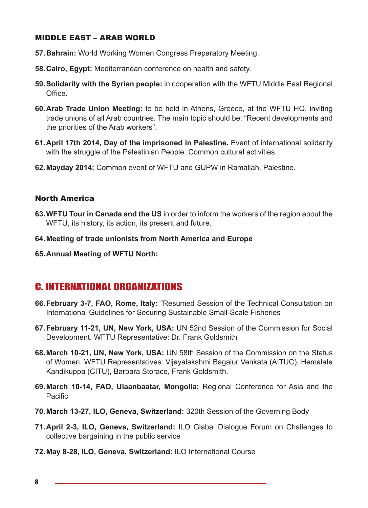#### MIDDLE EAST – ARAB WORLD

- **57.Bahrain:** World Working Women Congress Preparatory Meeting.
- **58.Cairo, Egypt:** Mediterranean conference on health and safety.
- **59.Solidarity with the Syrian people:** in cooperation with the WFTU Middle East Regional **Office**
- **60.Arab Trade Union Meeting:** to be held in Athens, Greece, at the WFTU HQ, inviting trade unions of all Arab countries. The main topic should be: "Recent developments and the priorities of the Arab workers".
- **61.April 17th 2014, Day of the imprisoned in Palestine.** Event of international solidarity with the struggle of the Palestinian People. Common cultural activities.
- **62.Mayday 2014:** Common event of WFTU and GUPW in Ramallah, Palestine.

#### North America

- **63.WFTU Tour in Canada and the US** in order to inform the workers of the region about the WFTU, its history, its action, its present and future.
- **64.Meeting of trade unionists from North America and Europe**
- **65.Annual Meeting of WFTU North:**

#### C. INTERNATIONAL ORGANIZATIONS

- **66.February 3-7, FAO, Rome, Italy:** "Resumed Session of the Technical Consultation on International Guidelines for Securing Sustainable Small-Scale Fisheries
- **67.February 11-21, UN, New York, USA:** UN 52nd Session of the Commission for Social Development. WFTU Representative: Dr. Frank Goldsmith
- **68.March 10-21, UN, New York, USA:** UN 58th Session of the Commission on the Status of Women. WFTU Representatives: Vijayalakshmi Bagalur Venkata (AITUC), Hemalata Kandikuppa (CITU), Barbara Storace, Frank Goldsmith.
- **69.March 10-14, FAO, Ulaanbaatar, Mongolia:** Regional Conference for Asia and the Pacific
- **70.March 13-27, ILO, Geneva, Switzerland:** 320th Session of the Governing Body
- **71.April 2-3, ILO, Geneva, Switzerland:** ILO Glabal Dialogue Forum on Challenges to collective bargaining in the public service
- **72.May 8-28, ILO, Geneva, Switzerland:** ILO International Course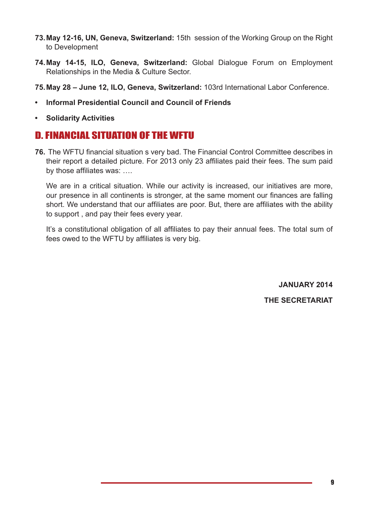- **73.May 12-16, UN, Geneva, Switzerland:** 15th session of the Working Group on the Right to Development
- **74.May 14-15, ILO, Geneva, Switzerland:** Global Dialogue Forum on Employment Relationships in the Media & Culture Sector.
- **75.May 28 June 12, ILO, Geneva, Switzerland:** 103rd International Labor Conference.
- **• Informal Presidential Council and Council of Friends**
- **• Solidarity Activities**

### D. FINANCIAL SITUATION OF THE WFTU

**76.** The WFTU financial situation s very bad. The Financial Control Committee describes in their report a detailed picture. For 2013 only 23 affiliates paid their fees. The sum paid by those affiliates was: ….

We are in a critical situation. While our activity is increased, our initiatives are more, our presence in all continents is stronger, at the same moment our finances are falling short. We understand that our affiliates are poor. But, there are affiliates with the ability to support , and pay their fees every year.

It's a constitutional obligation of all affiliates to pay their annual fees. The total sum of fees owed to the WFTU by affiliates is very big.

> **JANUARY 2014 THE SECRETARIAT**